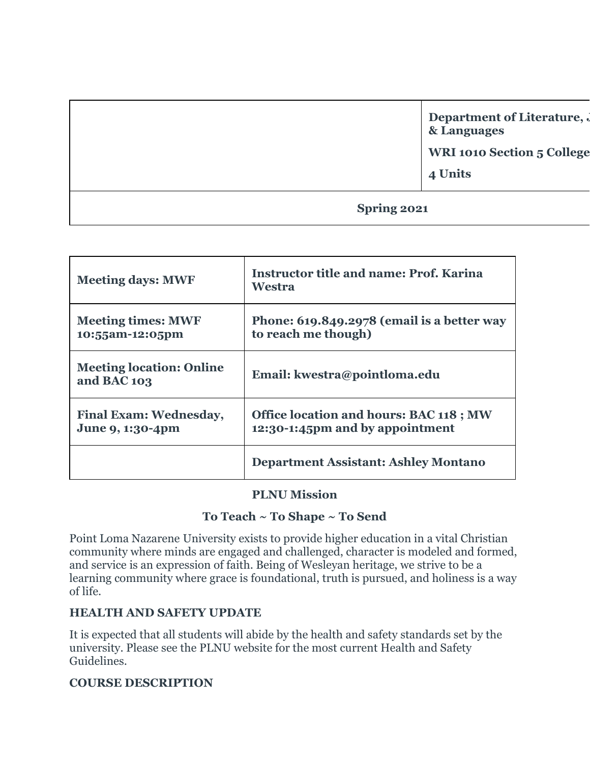|             | Department of Literature,<br>& Languages<br><b>WRI 1010 Section 5 College</b><br>4 Units |
|-------------|------------------------------------------------------------------------------------------|
| Spring 2021 |                                                                                          |

| <b>Meeting days: MWF</b>                          | <b>Instructor title and name: Prof. Karina</b><br>Westra                          |
|---------------------------------------------------|-----------------------------------------------------------------------------------|
| <b>Meeting times: MWF</b><br>10:55am-12:05pm      | Phone: 619.849.2978 (email is a better way<br>to reach me though)                 |
| <b>Meeting location: Online</b><br>and BAC 103    | Email: kwestra@pointloma.edu                                                      |
| <b>Final Exam: Wednesday,</b><br>June 9, 1:30-4pm | <b>Office location and hours: BAC 118 ; MW</b><br>12:30-1:45pm and by appointment |
|                                                   | <b>Department Assistant: Ashley Montano</b>                                       |

#### **PLNU Mission**

## **To Teach ~ To Shape ~ To Send**

Point Loma Nazarene University exists to provide higher education in a vital Christian community where minds are engaged and challenged, character is modeled and formed, and service is an expression of faith. Being of Wesleyan heritage, we strive to be a learning community where grace is foundational, truth is pursued, and holiness is a way of life.

#### **HEALTH AND SAFETY UPDATE**

It is expected that all students will abide by the health and safety standards set by the university. Please see the PLNU website for the most current Health and Safety Guidelines.

#### **COURSE DESCRIPTION**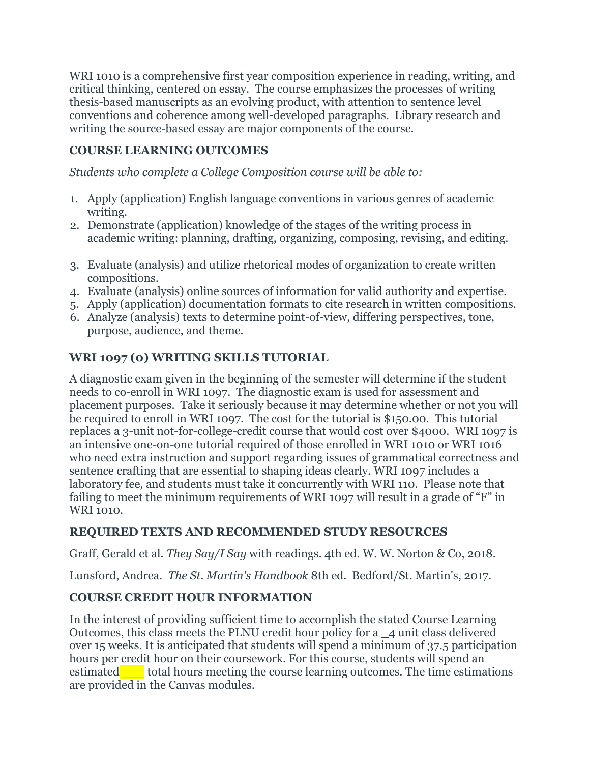WRI 1010 is a comprehensive first year composition experience in reading, writing, and critical thinking, centered on essay. The course emphasizes the processes of writing thesis-based manuscripts as an evolving product, with attention to sentence level conventions and coherence among well-developed paragraphs. Library research and writing the source-based essay are major components of the course.

# **COURSE LEARNING OUTCOMES**

*Students who complete a College Composition course will be able to:*

- 1. Apply (application) English language conventions in various genres of academic writing.
- 2. Demonstrate (application) knowledge of the stages of the writing process in academic writing: planning, drafting, organizing, composing, revising, and editing.
- 3. Evaluate (analysis) and utilize rhetorical modes of organization to create written compositions.
- 4. Evaluate (analysis) online sources of information for valid authority and expertise.
- 5. Apply (application) documentation formats to cite research in written compositions.
- 6. Analyze (analysis) texts to determine point-of-view, differing perspectives, tone, purpose, audience, and theme.

## **WRI 1097 (0) WRITING SKILLS TUTORIAL**

A diagnostic exam given in the beginning of the semester will determine if the student needs to co-enroll in WRI 1097. The diagnostic exam is used for assessment and placement purposes. Take it seriously because it may determine whether or not you will be required to enroll in WRI 1097. The cost for the tutorial is \$150.00. This tutorial replaces a 3-unit not-for-college-credit course that would cost over \$4000. WRI 1097 is an intensive one-on-one tutorial required of those enrolled in WRI 1010 or WRI 1016 who need extra instruction and support regarding issues of grammatical correctness and sentence crafting that are essential to shaping ideas clearly. WRI 1097 includes a laboratory fee, and students must take it concurrently with WRI 110. Please note that failing to meet the minimum requirements of WRI 1097 will result in a grade of "F" in WRI 1010.

## **REQUIRED TEXTS AND RECOMMENDED STUDY RESOURCES**

Graff, Gerald et al. *They Say/I Say* with readings. 4th ed. W. W. Norton & Co, 2018.

Lunsford, Andrea. *The St. Martin's Handbook* 8th ed. Bedford/St. Martin's, 2017.

# **COURSE CREDIT HOUR INFORMATION**

In the interest of providing sufficient time to accomplish the stated Course Learning Outcomes, this class meets the PLNU credit hour policy for a \_4 unit class delivered over 15 weeks. It is anticipated that students will spend a minimum of 37.5 participation hours per credit hour on their coursework. For this course, students will spend an estimated total hours meeting the course learning outcomes. The time estimations are provided in the Canvas modules.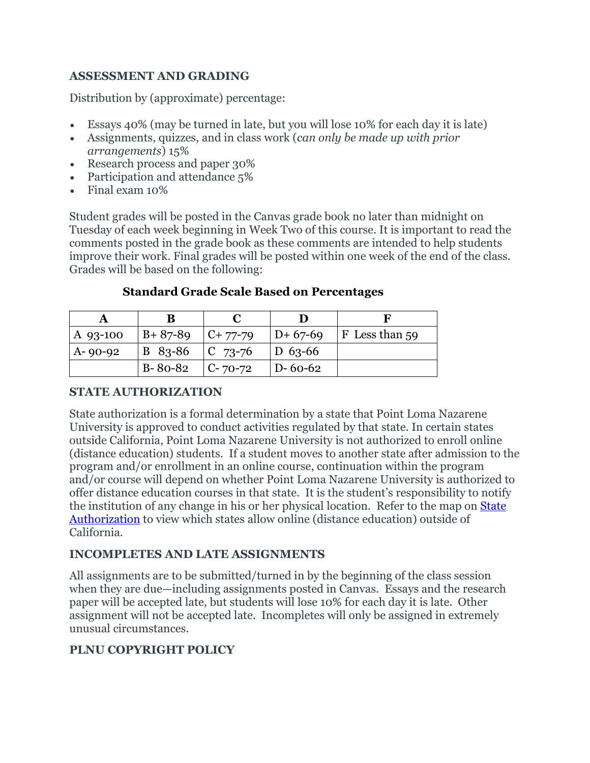# **ASSESSMENT AND GRADING**

Distribution by (approximate) percentage:

- Essays 40% (may be turned in late, but you will lose 10% for each day it is late)
- Assignments, quizzes, and in class work (*can only be made up with prior arrangements*) 15%
- Research process and paper 30%
- Participation and attendance 5%
- Final exam 10%

Student grades will be posted in the Canvas grade book no later than midnight on Tuesday of each week beginning in Week Two of this course. It is important to read the comments posted in the grade book as these comments are intended to help students improve their work. Final grades will be posted within one week of the end of the class. Grades will be based on the following:

#### **Standard Grade Scale Based on Percentages**

| A 93-100      | $ B+87-89 $ $ C+77-79 $ |                                          |               | $ D+67-69 $ F Less than 59 |
|---------------|-------------------------|------------------------------------------|---------------|----------------------------|
| $A - 90 - 92$ |                         | $ B \t83-86 \t  C \t73-76 \t  D \t63-66$ |               |                            |
|               | $ B-80-82 $ $ C-70-72 $ |                                          | $D - 60 - 62$ |                            |

# **STATE AUTHORIZATION**

State authorization is a formal determination by a state that Point Loma Nazarene University is approved to conduct activities regulated by that state. In certain states outside California, Point Loma Nazarene University is not authorized to enroll online (distance education) students. If a student moves to another state after admission to the program and/or enrollment in an online course, continuation within the program and/or course will depend on whether Point Loma Nazarene University is authorized to offer distance education courses in that state. It is the student's responsibility to notify the institution of any change in his or her physical location. Refer to the map on [State](https://www.pointloma.edu/offices/office-institutional-effectiveness-research/disclosures)  [Authorization](https://www.pointloma.edu/offices/office-institutional-effectiveness-research/disclosures) to view which states allow online (distance education) outside of California.

## **INCOMPLETES AND LATE ASSIGNMENTS**

All assignments are to be submitted/turned in by the beginning of the class session when they are due—including assignments posted in Canvas. Essays and the research paper will be accepted late, but students will lose 10% for each day it is late. Other assignment will not be accepted late. Incompletes will only be assigned in extremely unusual circumstances.

## **PLNU COPYRIGHT POLICY**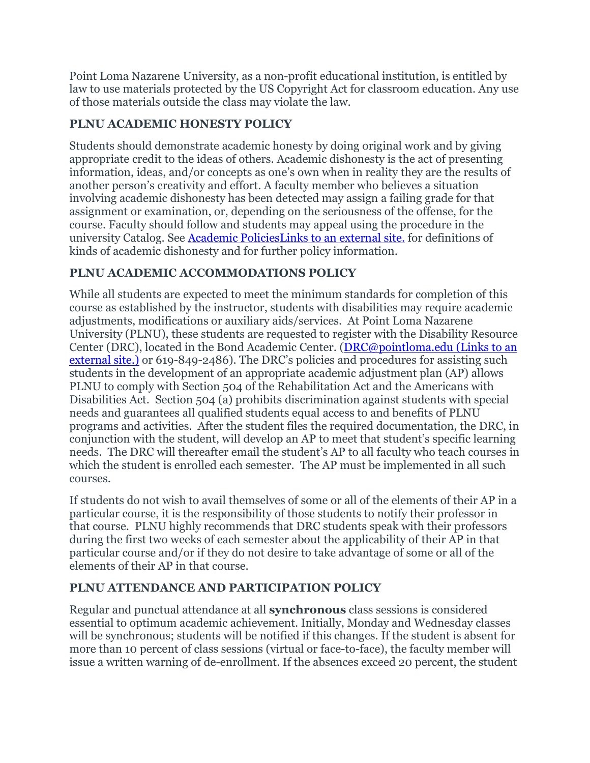Point Loma Nazarene University, as a non-profit educational institution, is entitled by law to use materials protected by the US Copyright Act for classroom education. Any use of those materials outside the class may violate the law.

# **PLNU ACADEMIC HONESTY POLICY**

Students should demonstrate academic honesty by doing original work and by giving appropriate credit to the ideas of others. Academic dishonesty is the act of presenting information, ideas, and/or concepts as one's own when in reality they are the results of another person's creativity and effort. A faculty member who believes a situation involving academic dishonesty has been detected may assign a failing grade for that assignment or examination, or, depending on the seriousness of the offense, for the course. Faculty should follow and students may appeal using the procedure in the university Catalog. See [Academic PoliciesLinks](http://catalog.pointloma.edu/content.php?catoid=18&navoid=1278) to an external site. for definitions of kinds of academic dishonesty and for further policy information.

# **PLNU ACADEMIC ACCOMMODATIONS POLICY**

While all students are expected to meet the minimum standards for completion of this course as established by the instructor, students with disabilities may require academic adjustments, modifications or auxiliary aids/services. At Point Loma Nazarene University (PLNU), these students are requested to register with the Disability Resource Center (DRC), located in the Bond Academic Center. [\(DRC@pointloma.edu](https://mail.google.com/mail/?view=cm&fs=1&tf=1&to=DRC@pointloma.edu) (Links to an [external](https://mail.google.com/mail/?view=cm&fs=1&tf=1&to=DRC@pointloma.edu) site.) or 619-849-2486). The DRC's policies and procedures for assisting such students in the development of an appropriate academic adjustment plan (AP) allows PLNU to comply with Section 504 of the Rehabilitation Act and the Americans with Disabilities Act. Section 504 (a) prohibits discrimination against students with special needs and guarantees all qualified students equal access to and benefits of PLNU programs and activities. After the student files the required documentation, the DRC, in conjunction with the student, will develop an AP to meet that student's specific learning needs. The DRC will thereafter email the student's AP to all faculty who teach courses in which the student is enrolled each semester. The AP must be implemented in all such courses.

If students do not wish to avail themselves of some or all of the elements of their AP in a particular course, it is the responsibility of those students to notify their professor in that course. PLNU highly recommends that DRC students speak with their professors during the first two weeks of each semester about the applicability of their AP in that particular course and/or if they do not desire to take advantage of some or all of the elements of their AP in that course.

# **PLNU ATTENDANCE AND PARTICIPATION POLICY**

Regular and punctual attendance at all **synchronous** class sessions is considered essential to optimum academic achievement. Initially, Monday and Wednesday classes will be synchronous; students will be notified if this changes. If the student is absent for more than 10 percent of class sessions (virtual or face-to-face), the faculty member will issue a written warning of de-enrollment. If the absences exceed 20 percent, the student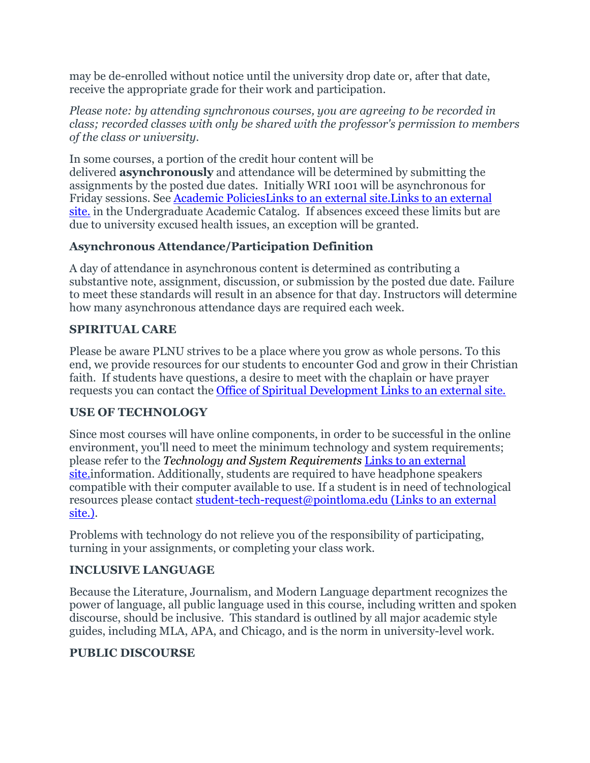may be de-enrolled without notice until the university drop date or, after that date, receive the appropriate grade for their work and participation.

*Please note: by attending synchronous courses, you are agreeing to be recorded in class; recorded classes with only be shared with the professor's permission to members of the class or university.*

In some courses, a portion of the credit hour content will be delivered **asynchronously** and attendance will be determined by submitting the assignments by the posted due dates. Initially WRI 1001 will be asynchronous for Friday sessions. See [Academic PoliciesLinks to an external site.Links](https://catalog.pointloma.edu/content.php?catoid=46&navoid=2650#Class_Attendance) to an external [site.](https://catalog.pointloma.edu/content.php?catoid=46&navoid=2650#Class_Attendance) in the Undergraduate Academic Catalog. If absences exceed these limits but are due to university excused health issues, an exception will be granted.

# **Asynchronous Attendance/Participation Definition**

A day of attendance in asynchronous content is determined as contributing a substantive note, assignment, discussion, or submission by the posted due date. Failure to meet these standards will result in an absence for that day. Instructors will determine how many asynchronous attendance days are required each week.

#### **SPIRITUAL CARE**

Please be aware PLNU strives to be a place where you grow as whole persons. To this end, we provide resources for our students to encounter God and grow in their Christian faith. If students have questions, a desire to meet with the chaplain or have prayer requests you can contact the [Office of Spiritual Development](https://www.pointloma.edu/offices/spiritual-development) Links to an external site.

## **USE OF TECHNOLOGY**

Since most courses will have online components, in order to be successful in the online environment, you'll need to meet the minimum technology and system requirements; please refer to the *[Technology and System Requirements](https://help.pointloma.edu/TDClient/1808/Portal/KB/ArticleDet?ID=108349)* Links to an external [site.i](https://help.pointloma.edu/TDClient/1808/Portal/KB/ArticleDet?ID=108349)nformation. Additionally, students are required to have headphone speakers compatible with their computer available to use. If a student is in need of technological resources please contact [student-tech-request@pointloma.edu](https://mail.google.com/mail/?view=cm&fs=1&tf=1&to=student-tech-request@pointloma.edu) (Links to an external [site.\).](https://mail.google.com/mail/?view=cm&fs=1&tf=1&to=student-tech-request@pointloma.edu)

Problems with technology do not relieve you of the responsibility of participating, turning in your assignments, or completing your class work.

## **INCLUSIVE LANGUAGE**

Because the Literature, Journalism, and Modern Language department recognizes the power of language, all public language used in this course, including written and spoken discourse, should be inclusive. This standard is outlined by all major academic style guides, including MLA, APA, and Chicago, and is the norm in university-level work.

## **PUBLIC DISCOURSE**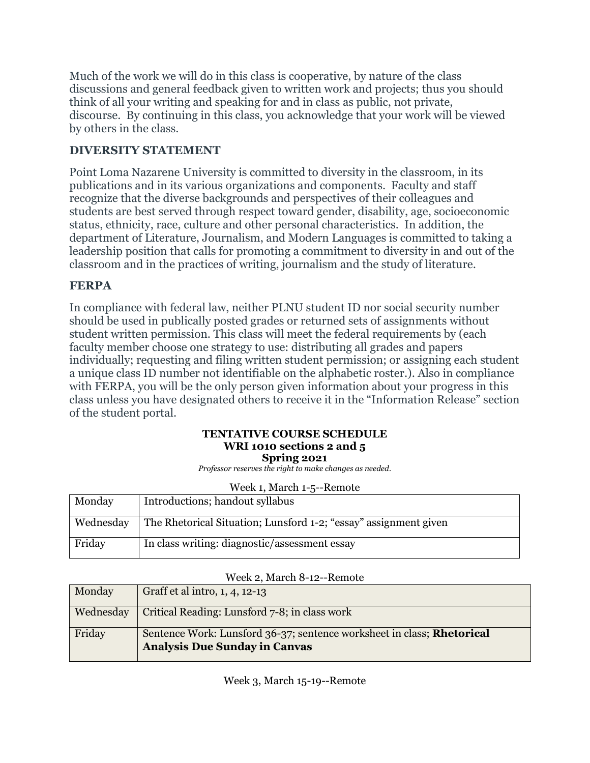Much of the work we will do in this class is cooperative, by nature of the class discussions and general feedback given to written work and projects; thus you should think of all your writing and speaking for and in class as public, not private, discourse. By continuing in this class, you acknowledge that your work will be viewed by others in the class.

# **DIVERSITY STATEMENT**

Point Loma Nazarene University is committed to diversity in the classroom, in its publications and in its various organizations and components. Faculty and staff recognize that the diverse backgrounds and perspectives of their colleagues and students are best served through respect toward gender, disability, age, socioeconomic status, ethnicity, race, culture and other personal characteristics. In addition, the department of Literature, Journalism, and Modern Languages is committed to taking a leadership position that calls for promoting a commitment to diversity in and out of the classroom and in the practices of writing, journalism and the study of literature.

## **FERPA**

In compliance with federal law, neither PLNU student ID nor social security number should be used in publically posted grades or returned sets of assignments without student written permission. This class will meet the federal requirements by (each faculty member choose one strategy to use: distributing all grades and papers individually; requesting and filing written student permission; or assigning each student a unique class ID number not identifiable on the alphabetic roster.). Also in compliance with FERPA, you will be the only person given information about your progress in this class unless you have designated others to receive it in the "Information Release" section of the student portal.

#### **TENTATIVE COURSE SCHEDULE WRI 1010 sections 2 and 5 Spring 2021**

*Professor reserves the right to make changes as needed.*

| week 1, march 1-5--Remote |                                                                  |  |
|---------------------------|------------------------------------------------------------------|--|
| Monday                    | Introductions; handout syllabus                                  |  |
| Wednesday                 | The Rhetorical Situation; Lunsford 1-2; "essay" assignment given |  |
| Friday                    | In class writing: diagnostic/assessment essay                    |  |

|  |  | Week 1, March 1-5--Remote |
|--|--|---------------------------|
|--|--|---------------------------|

| Week 2, March 8-12--Remote |  |  |  |
|----------------------------|--|--|--|
|----------------------------|--|--|--|

| Monday    | Graff et al intro, 1, 4, 12-13                                                                                        |
|-----------|-----------------------------------------------------------------------------------------------------------------------|
| Wednesday | Critical Reading: Lunsford 7-8; in class work                                                                         |
| Friday    | Sentence Work: Lunsford 36-37; sentence worksheet in class; <b>Rhetorical</b><br><b>Analysis Due Sunday in Canvas</b> |

Week 3, March 15-19--Remote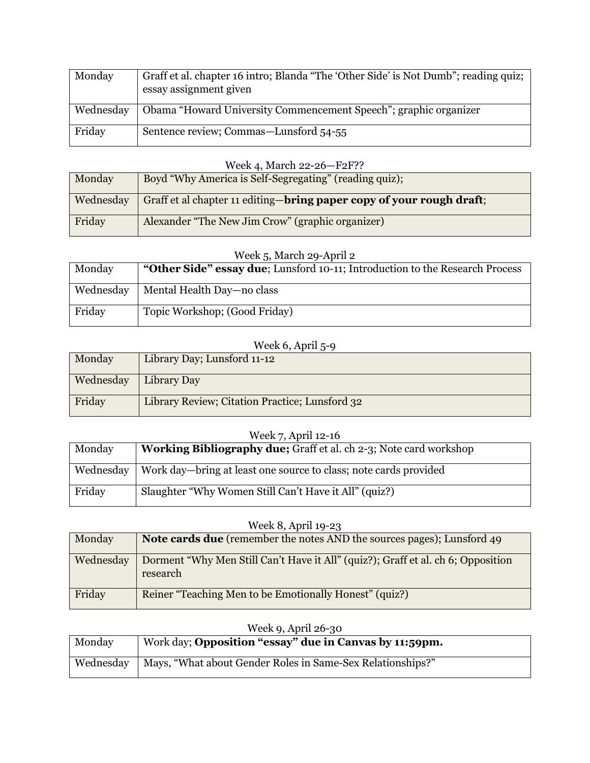| Monday    | Graff et al. chapter 16 intro; Blanda "The 'Other Side' is Not Dumb"; reading quiz;<br>essay assignment given |
|-----------|---------------------------------------------------------------------------------------------------------------|
| Wednesday | Obama "Howard University Commencement Speech"; graphic organizer                                              |
| Friday    | Sentence review; Commas—Lunsford 54-55                                                                        |

#### Week 4, March 22-26—F2F??

| Monday    | Boyd "Why America is Self-Segregating" (reading quiz);                        |
|-----------|-------------------------------------------------------------------------------|
| Wednesday | Graff et al chapter 11 editing— <b>bring paper copy of your rough draft</b> ; |
| Friday    | Alexander "The New Jim Crow" (graphic organizer)                              |

#### Week 5, March 29-April 2

| Monday    | "Other Side" essay due; Lunsford 10-11; Introduction to the Research Process |  |
|-----------|------------------------------------------------------------------------------|--|
| Wednesday | Mental Health Day—no class                                                   |  |
| Friday    | Topic Workshop; (Good Friday)                                                |  |

#### Week 6, April 5-9

| Monday    | Library Day; Lunsford 11-12                    |
|-----------|------------------------------------------------|
| Wednesday | Library Day                                    |
| Friday    | Library Review; Citation Practice; Lunsford 32 |

# Week 7, April 12-16

| Monday | <b>Working Bibliography due;</b> Graff et al. ch 2-3; Note card workshop     |
|--------|------------------------------------------------------------------------------|
|        | Wednesday   Work day—bring at least one source to class; note cards provided |
| Friday | Slaughter "Why Women Still Can't Have it All" (quiz?)                        |

#### Week 8, April 19-23

| Monday    | <b>Note cards due</b> (remember the notes AND the sources pages); Lunsford 49                |
|-----------|----------------------------------------------------------------------------------------------|
| Wednesday | Dorment "Why Men Still Can't Have it All" (quiz?); Graff et al. ch 6; Opposition<br>research |
| Friday    | Reiner "Teaching Men to be Emotionally Honest" (quiz?)                                       |

| Week 9, April 26-30 |                                                            |
|---------------------|------------------------------------------------------------|
| Monday              | Work day; Opposition "essay" due in Canvas by 11:59pm.     |
|                     |                                                            |
| Wednesday           | Mays, "What about Gender Roles in Same-Sex Relationships?" |
|                     |                                                            |

#### Week 9, April 26-30